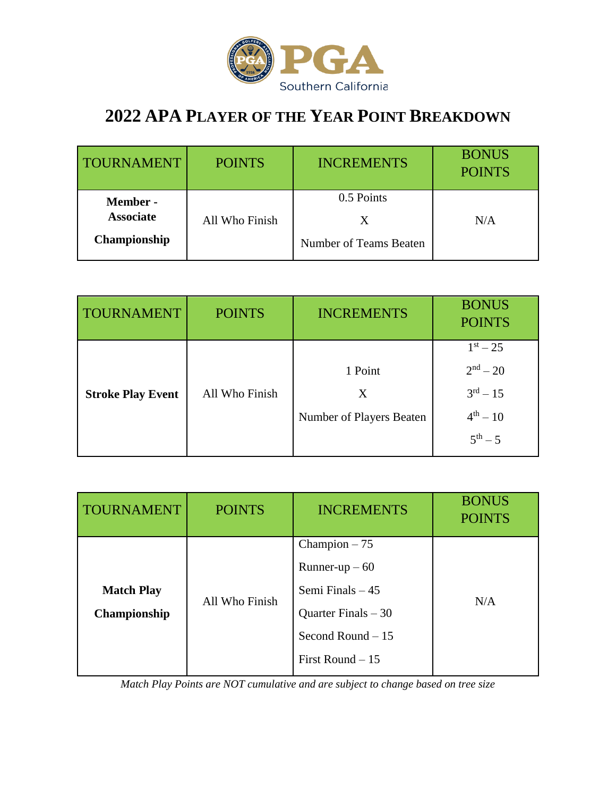

## **2022 APA PLAYER OF THE YEAR POINT BREAKDOWN**

| <b>TOURNAMENT</b>                                          | <b>POINTS</b>  | <b>INCREMENTS</b>                         | <b>BONUS</b><br><b>POINTS</b> |
|------------------------------------------------------------|----------------|-------------------------------------------|-------------------------------|
| <b>Member -</b><br><b>Associate</b><br><b>Championship</b> | All Who Finish | 0.5 Points<br>Χ<br>Number of Teams Beaten | N/A                           |

| <b>TOURNAMENT</b>        | <b>POINTS</b>  | <b>INCREMENTS</b>                        | <b>BONUS</b><br><b>POINTS</b>                                                 |
|--------------------------|----------------|------------------------------------------|-------------------------------------------------------------------------------|
| <b>Stroke Play Event</b> | All Who Finish | 1 Point<br>X<br>Number of Players Beaten | $1^{st} - 25$<br>$2nd - 20$<br>$3^{rd} - 15$<br>$4^{th} - 10$<br>$5^{th} - 5$ |

| <b>TOURNAMENT</b> | <b>POINTS</b>  | <b>INCREMENTS</b>                 | <b>BONUS</b><br><b>POINTS</b> |
|-------------------|----------------|-----------------------------------|-------------------------------|
|                   |                | Champion $-75$<br>Runner-up $-60$ |                               |
| <b>Match Play</b> | All Who Finish | Semi Finals $-45$                 | N/A                           |
| Championship      |                | Quarter Finals $-30$              |                               |
|                   |                | Second Round $-15$                |                               |
|                   |                | First Round $-15$                 |                               |

*Match Play Points are NOT cumulative and are subject to change based on tree size*